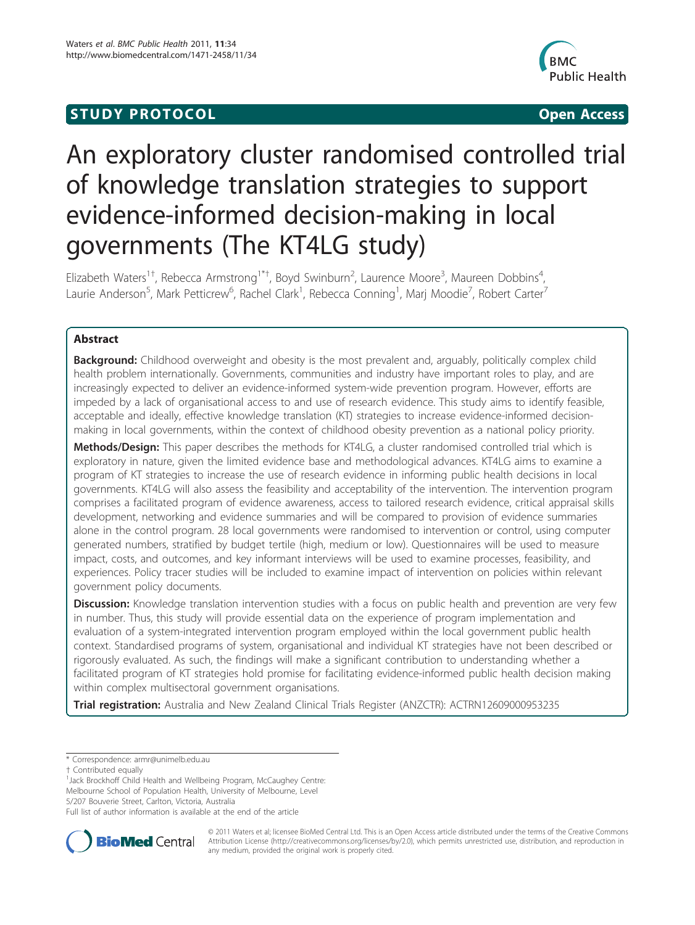## **STUDY PROTOCOL** And the state of the state of the state of the state of the state of the state of the state of the state of the state of the state of the state of the state of the state of the state of the state of the st



# An exploratory cluster randomised controlled trial of knowledge translation strategies to support evidence-informed decision-making in local governments (The KT4LG study)

Elizabeth Waters<sup>1†</sup>, Rebecca Armstrong<sup>1\*†</sup>, Boyd Swinburn<sup>2</sup>, Laurence Moore<sup>3</sup>, Maureen Dobbins<sup>4</sup> , Laurie Anderson<sup>5</sup>, Mark Petticrew<sup>6</sup>, Rachel Clark<sup>1</sup>, Rebecca Conning<sup>1</sup>, Marj Moodie<sup>7</sup>, Robert Carter<sup>7</sup>

## Abstract

**Background:** Childhood overweight and obesity is the most prevalent and, arguably, politically complex child health problem internationally. Governments, communities and industry have important roles to play, and are increasingly expected to deliver an evidence-informed system-wide prevention program. However, efforts are impeded by a lack of organisational access to and use of research evidence. This study aims to identify feasible, acceptable and ideally, effective knowledge translation (KT) strategies to increase evidence-informed decisionmaking in local governments, within the context of childhood obesity prevention as a national policy priority.

Methods/Design: This paper describes the methods for KT4LG, a cluster randomised controlled trial which is exploratory in nature, given the limited evidence base and methodological advances. KT4LG aims to examine a program of KT strategies to increase the use of research evidence in informing public health decisions in local governments. KT4LG will also assess the feasibility and acceptability of the intervention. The intervention program comprises a facilitated program of evidence awareness, access to tailored research evidence, critical appraisal skills development, networking and evidence summaries and will be compared to provision of evidence summaries alone in the control program. 28 local governments were randomised to intervention or control, using computer generated numbers, stratified by budget tertile (high, medium or low). Questionnaires will be used to measure impact, costs, and outcomes, and key informant interviews will be used to examine processes, feasibility, and experiences. Policy tracer studies will be included to examine impact of intervention on policies within relevant government policy documents.

Discussion: Knowledge translation intervention studies with a focus on public health and prevention are very few in number. Thus, this study will provide essential data on the experience of program implementation and evaluation of a system-integrated intervention program employed within the local government public health context. Standardised programs of system, organisational and individual KT strategies have not been described or rigorously evaluated. As such, the findings will make a significant contribution to understanding whether a facilitated program of KT strategies hold promise for facilitating evidence-informed public health decision making within complex multisectoral government organisations.

Trial registration: Australia and New Zealand Clinical Trials Register (ANZCTR): [ACTRN12609000953235](http://www.anzctr.org.au/ACTRN12609000953235.aspx)

<sup>1</sup> Jack Brockhoff Child Health and Wellbeing Program, McCaughey Centre: Melbourne School of Population Health, University of Melbourne, Level 5/207 Bouverie Street, Carlton, Victoria, Australia

Full list of author information is available at the end of the article



© 2011 Waters et al; licensee BioMed Central Ltd. This is an Open Access article distributed under the terms of the Creative Commons Attribution License [\(http://creativecommons.org/licenses/by/2.0](http://creativecommons.org/licenses/by/2.0)), which permits unrestricted use, distribution, and reproduction in any medium, provided the original work is properly cited.

<sup>\*</sup> Correspondence: [armr@unimelb.edu.au](mailto:armr@unimelb.edu.au)

<sup>†</sup> Contributed equally <sup>1</sup>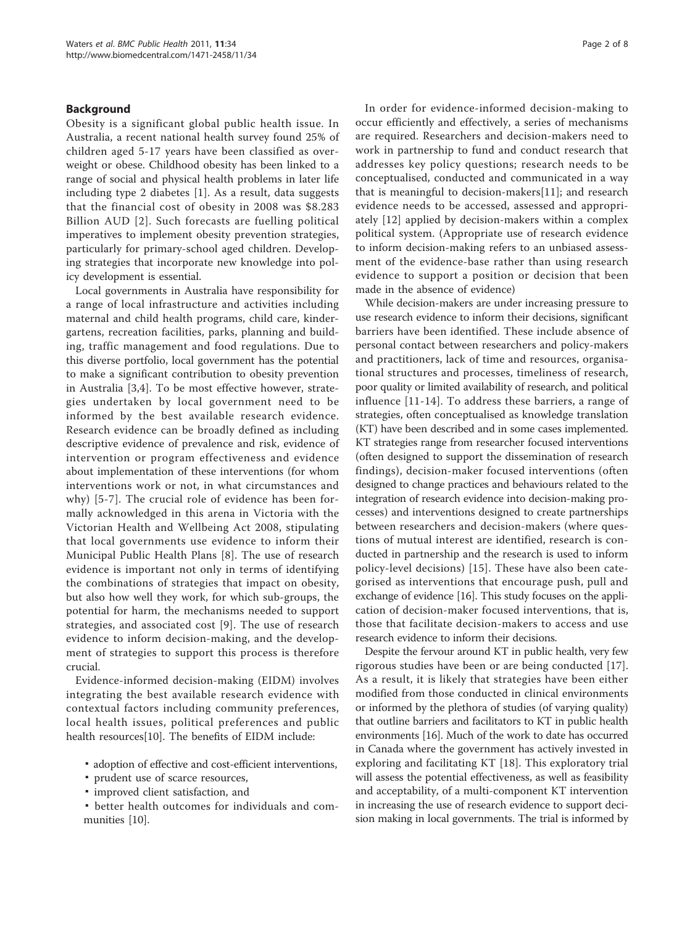#### Background

Obesity is a significant global public health issue. In Australia, a recent national health survey found 25% of children aged 5-17 years have been classified as overweight or obese. Childhood obesity has been linked to a range of social and physical health problems in later life including type 2 diabetes [\[1](#page-6-0)]. As a result, data suggests that the financial cost of obesity in 2008 was \$8.283 Billion AUD [[2](#page-6-0)]. Such forecasts are fuelling political imperatives to implement obesity prevention strategies, particularly for primary-school aged children. Developing strategies that incorporate new knowledge into policy development is essential.

Local governments in Australia have responsibility for a range of local infrastructure and activities including maternal and child health programs, child care, kindergartens, recreation facilities, parks, planning and building, traffic management and food regulations. Due to this diverse portfolio, local government has the potential to make a significant contribution to obesity prevention in Australia [\[3](#page-7-0),[4\]](#page-7-0). To be most effective however, strategies undertaken by local government need to be informed by the best available research evidence. Research evidence can be broadly defined as including descriptive evidence of prevalence and risk, evidence of intervention or program effectiveness and evidence about implementation of these interventions (for whom interventions work or not, in what circumstances and why) [[5](#page-7-0)-[7](#page-7-0)]. The crucial role of evidence has been formally acknowledged in this arena in Victoria with the Victorian Health and Wellbeing Act 2008, stipulating that local governments use evidence to inform their Municipal Public Health Plans [[8\]](#page-7-0). The use of research evidence is important not only in terms of identifying the combinations of strategies that impact on obesity, but also how well they work, for which sub-groups, the potential for harm, the mechanisms needed to support strategies, and associated cost [[9\]](#page-7-0). The use of research evidence to inform decision-making, and the development of strategies to support this process is therefore crucial.

Evidence-informed decision-making (EIDM) involves integrating the best available research evidence with contextual factors including community preferences, local health issues, political preferences and public health resources[\[10](#page-7-0)]. The benefits of EIDM include:

- adoption of effective and cost-efficient interventions,
- prudent use of scarce resources,
- improved client satisfaction, and

▪ better health outcomes for individuals and communities [\[10\]](#page-7-0).

In order for evidence-informed decision-making to occur efficiently and effectively, a series of mechanisms are required. Researchers and decision-makers need to work in partnership to fund and conduct research that addresses key policy questions; research needs to be conceptualised, conducted and communicated in a way that is meaningful to decision-makers[[11\]](#page-7-0); and research evidence needs to be accessed, assessed and appropriately [[12\]](#page-7-0) applied by decision-makers within a complex political system. (Appropriate use of research evidence to inform decision-making refers to an unbiased assessment of the evidence-base rather than using research evidence to support a position or decision that been made in the absence of evidence)

While decision-makers are under increasing pressure to use research evidence to inform their decisions, significant barriers have been identified. These include absence of personal contact between researchers and policy-makers and practitioners, lack of time and resources, organisational structures and processes, timeliness of research, poor quality or limited availability of research, and political influence [[11](#page-7-0)-[14](#page-7-0)]. To address these barriers, a range of strategies, often conceptualised as knowledge translation (KT) have been described and in some cases implemented. KT strategies range from researcher focused interventions (often designed to support the dissemination of research findings), decision-maker focused interventions (often designed to change practices and behaviours related to the integration of research evidence into decision-making processes) and interventions designed to create partnerships between researchers and decision-makers (where questions of mutual interest are identified, research is conducted in partnership and the research is used to inform policy-level decisions) [[15](#page-7-0)]. These have also been categorised as interventions that encourage push, pull and exchange of evidence [[16](#page-7-0)]. This study focuses on the application of decision-maker focused interventions, that is, those that facilitate decision-makers to access and use research evidence to inform their decisions.

Despite the fervour around KT in public health, very few rigorous studies have been or are being conducted [\[17](#page-7-0)]. As a result, it is likely that strategies have been either modified from those conducted in clinical environments or informed by the plethora of studies (of varying quality) that outline barriers and facilitators to KT in public health environments [\[16\]](#page-7-0). Much of the work to date has occurred in Canada where the government has actively invested in exploring and facilitating KT [\[18](#page-7-0)]. This exploratory trial will assess the potential effectiveness, as well as feasibility and acceptability, of a multi-component KT intervention in increasing the use of research evidence to support decision making in local governments. The trial is informed by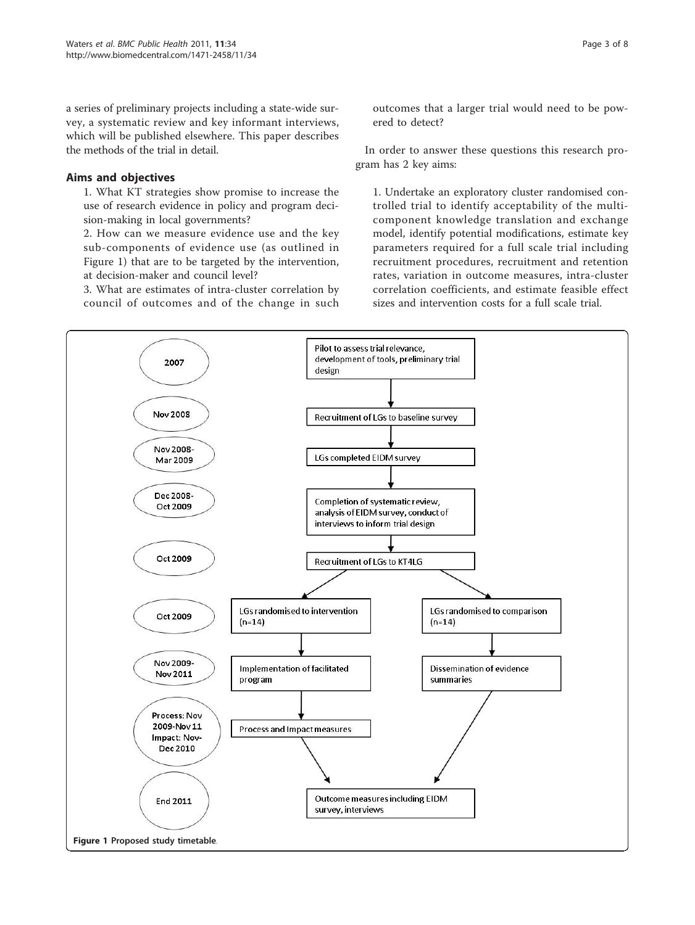<span id="page-2-0"></span>a series of preliminary projects including a state-wide survey, a systematic review and key informant interviews, which will be published elsewhere. This paper describes the methods of the trial in detail.

## Aims and objectives

1. What KT strategies show promise to increase the use of research evidence in policy and program decision-making in local governments?

2. How can we measure evidence use and the key sub-components of evidence use (as outlined in Figure 1) that are to be targeted by the intervention, at decision-maker and council level?

3. What are estimates of intra-cluster correlation by council of outcomes and of the change in such outcomes that a larger trial would need to be powered to detect?

In order to answer these questions this research program has 2 key aims:

1. Undertake an exploratory cluster randomised controlled trial to identify acceptability of the multicomponent knowledge translation and exchange model, identify potential modifications, estimate key parameters required for a full scale trial including recruitment procedures, recruitment and retention rates, variation in outcome measures, intra-cluster correlation coefficients, and estimate feasible effect sizes and intervention costs for a full scale trial.

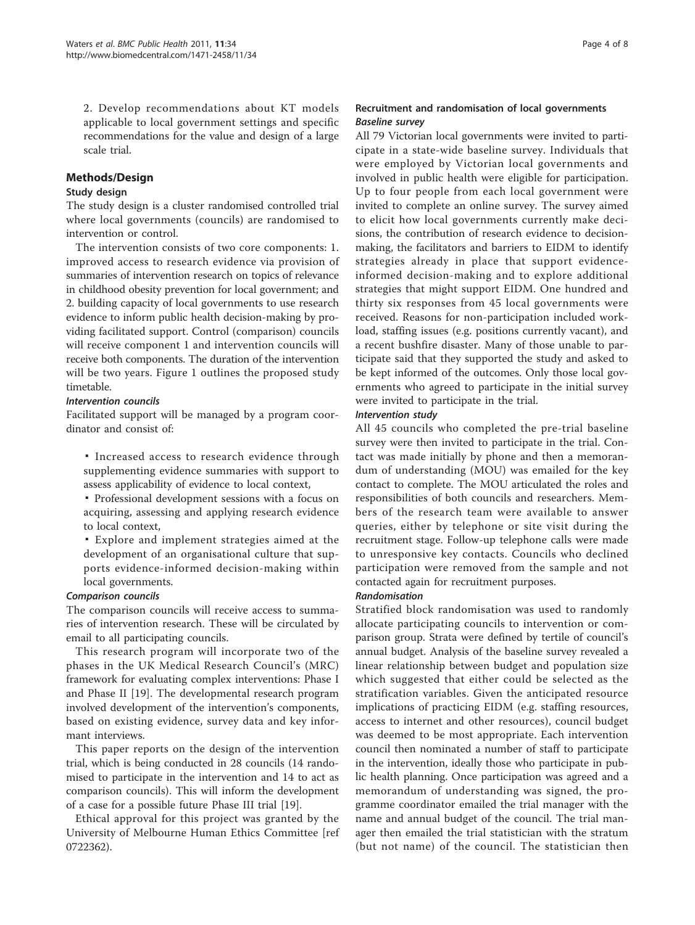2. Develop recommendations about KT models applicable to local government settings and specific recommendations for the value and design of a large scale trial.

#### Methods/Design

#### Study design

The study design is a cluster randomised controlled trial where local governments (councils) are randomised to intervention or control.

The intervention consists of two core components: 1. improved access to research evidence via provision of summaries of intervention research on topics of relevance in childhood obesity prevention for local government; and 2. building capacity of local governments to use research evidence to inform public health decision-making by providing facilitated support. Control (comparison) councils will receive component 1 and intervention councils will receive both components. The duration of the intervention will be two years. Figure [1](#page-2-0) outlines the proposed study timetable.

#### Intervention councils

Facilitated support will be managed by a program coordinator and consist of:

▪ Increased access to research evidence through supplementing evidence summaries with support to assess applicability of evidence to local context,

▪ Professional development sessions with a focus on acquiring, assessing and applying research evidence to local context,

▪ Explore and implement strategies aimed at the development of an organisational culture that supports evidence-informed decision-making within local governments.

#### Comparison councils

The comparison councils will receive access to summaries of intervention research. These will be circulated by email to all participating councils.

This research program will incorporate two of the phases in the UK Medical Research Council's (MRC) framework for evaluating complex interventions: Phase I and Phase II [\[19](#page-7-0)]. The developmental research program involved development of the intervention's components, based on existing evidence, survey data and key informant interviews.

This paper reports on the design of the intervention trial, which is being conducted in 28 councils (14 randomised to participate in the intervention and 14 to act as comparison councils). This will inform the development of a case for a possible future Phase III trial [[19\]](#page-7-0).

Ethical approval for this project was granted by the University of Melbourne Human Ethics Committee [ref 0722362).

## Recruitment and randomisation of local governments Baseline survey

All 79 Victorian local governments were invited to participate in a state-wide baseline survey. Individuals that were employed by Victorian local governments and involved in public health were eligible for participation. Up to four people from each local government were invited to complete an online survey. The survey aimed to elicit how local governments currently make decisions, the contribution of research evidence to decisionmaking, the facilitators and barriers to EIDM to identify strategies already in place that support evidenceinformed decision-making and to explore additional strategies that might support EIDM. One hundred and thirty six responses from 45 local governments were received. Reasons for non-participation included workload, staffing issues (e.g. positions currently vacant), and a recent bushfire disaster. Many of those unable to participate said that they supported the study and asked to be kept informed of the outcomes. Only those local governments who agreed to participate in the initial survey were invited to participate in the trial.

#### Intervention study

All 45 councils who completed the pre-trial baseline survey were then invited to participate in the trial. Contact was made initially by phone and then a memorandum of understanding (MOU) was emailed for the key contact to complete. The MOU articulated the roles and responsibilities of both councils and researchers. Members of the research team were available to answer queries, either by telephone or site visit during the recruitment stage. Follow-up telephone calls were made to unresponsive key contacts. Councils who declined participation were removed from the sample and not contacted again for recruitment purposes.

## Randomisation

Stratified block randomisation was used to randomly allocate participating councils to intervention or comparison group. Strata were defined by tertile of council's annual budget. Analysis of the baseline survey revealed a linear relationship between budget and population size which suggested that either could be selected as the stratification variables. Given the anticipated resource implications of practicing EIDM (e.g. staffing resources, access to internet and other resources), council budget was deemed to be most appropriate. Each intervention council then nominated a number of staff to participate in the intervention, ideally those who participate in public health planning. Once participation was agreed and a memorandum of understanding was signed, the programme coordinator emailed the trial manager with the name and annual budget of the council. The trial manager then emailed the trial statistician with the stratum (but not name) of the council. The statistician then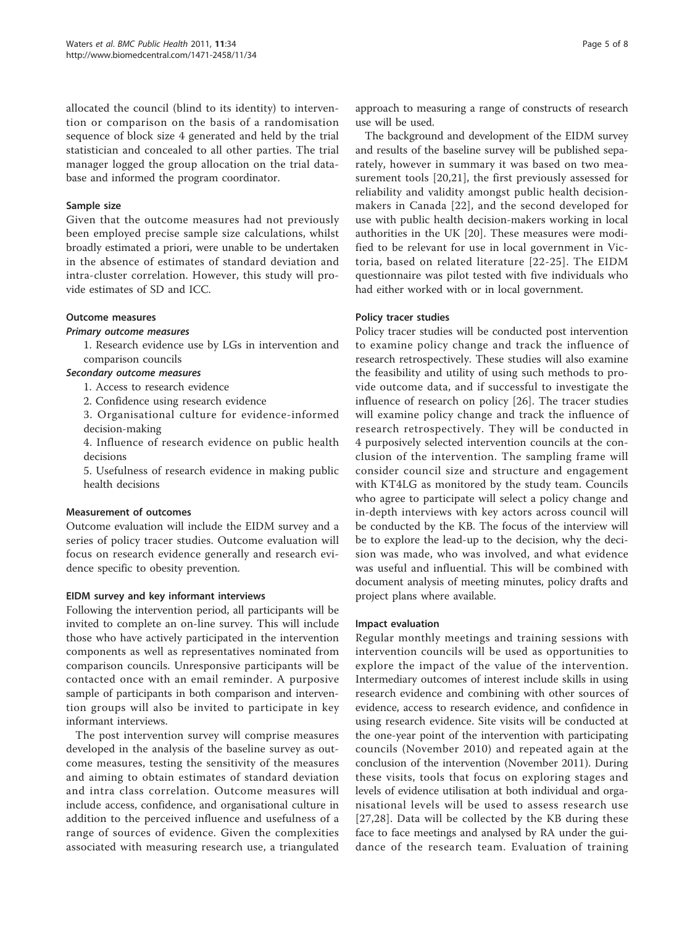allocated the council (blind to its identity) to intervention or comparison on the basis of a randomisation sequence of block size 4 generated and held by the trial statistician and concealed to all other parties. The trial manager logged the group allocation on the trial database and informed the program coordinator.

#### Sample size

Given that the outcome measures had not previously been employed precise sample size calculations, whilst broadly estimated a priori, were unable to be undertaken in the absence of estimates of standard deviation and intra-cluster correlation. However, this study will provide estimates of SD and ICC.

## Outcome measures

#### Primary outcome measures

1. Research evidence use by LGs in intervention and comparison councils

#### Secondary outcome measures

- 1. Access to research evidence
- 2. Confidence using research evidence

3. Organisational culture for evidence-informed decision-making

4. Influence of research evidence on public health decisions

5. Usefulness of research evidence in making public health decisions

#### Measurement of outcomes

Outcome evaluation will include the EIDM survey and a series of policy tracer studies. Outcome evaluation will focus on research evidence generally and research evidence specific to obesity prevention.

#### EIDM survey and key informant interviews

Following the intervention period, all participants will be invited to complete an on-line survey. This will include those who have actively participated in the intervention components as well as representatives nominated from comparison councils. Unresponsive participants will be contacted once with an email reminder. A purposive sample of participants in both comparison and intervention groups will also be invited to participate in key informant interviews.

The post intervention survey will comprise measures developed in the analysis of the baseline survey as outcome measures, testing the sensitivity of the measures and aiming to obtain estimates of standard deviation and intra class correlation. Outcome measures will include access, confidence, and organisational culture in addition to the perceived influence and usefulness of a range of sources of evidence. Given the complexities associated with measuring research use, a triangulated approach to measuring a range of constructs of research use will be used.

The background and development of the EIDM survey and results of the baseline survey will be published separately, however in summary it was based on two measurement tools [[20,21\]](#page-7-0), the first previously assessed for reliability and validity amongst public health decisionmakers in Canada [[22](#page-7-0)], and the second developed for use with public health decision-makers working in local authorities in the UK [\[20](#page-7-0)]. These measures were modified to be relevant for use in local government in Victoria, based on related literature [[22](#page-7-0)-[25\]](#page-7-0). The EIDM questionnaire was pilot tested with five individuals who had either worked with or in local government.

#### Policy tracer studies

Policy tracer studies will be conducted post intervention to examine policy change and track the influence of research retrospectively. These studies will also examine the feasibility and utility of using such methods to provide outcome data, and if successful to investigate the influence of research on policy [[26\]](#page-7-0). The tracer studies will examine policy change and track the influence of research retrospectively. They will be conducted in 4 purposively selected intervention councils at the conclusion of the intervention. The sampling frame will consider council size and structure and engagement with KT4LG as monitored by the study team. Councils who agree to participate will select a policy change and in-depth interviews with key actors across council will be conducted by the KB. The focus of the interview will be to explore the lead-up to the decision, why the decision was made, who was involved, and what evidence was useful and influential. This will be combined with document analysis of meeting minutes, policy drafts and project plans where available.

#### Impact evaluation

Regular monthly meetings and training sessions with intervention councils will be used as opportunities to explore the impact of the value of the intervention. Intermediary outcomes of interest include skills in using research evidence and combining with other sources of evidence, access to research evidence, and confidence in using research evidence. Site visits will be conducted at the one-year point of the intervention with participating councils (November 2010) and repeated again at the conclusion of the intervention (November 2011). During these visits, tools that focus on exploring stages and levels of evidence utilisation at both individual and organisational levels will be used to assess research use [[27](#page-7-0),[28](#page-7-0)]. Data will be collected by the KB during these face to face meetings and analysed by RA under the guidance of the research team. Evaluation of training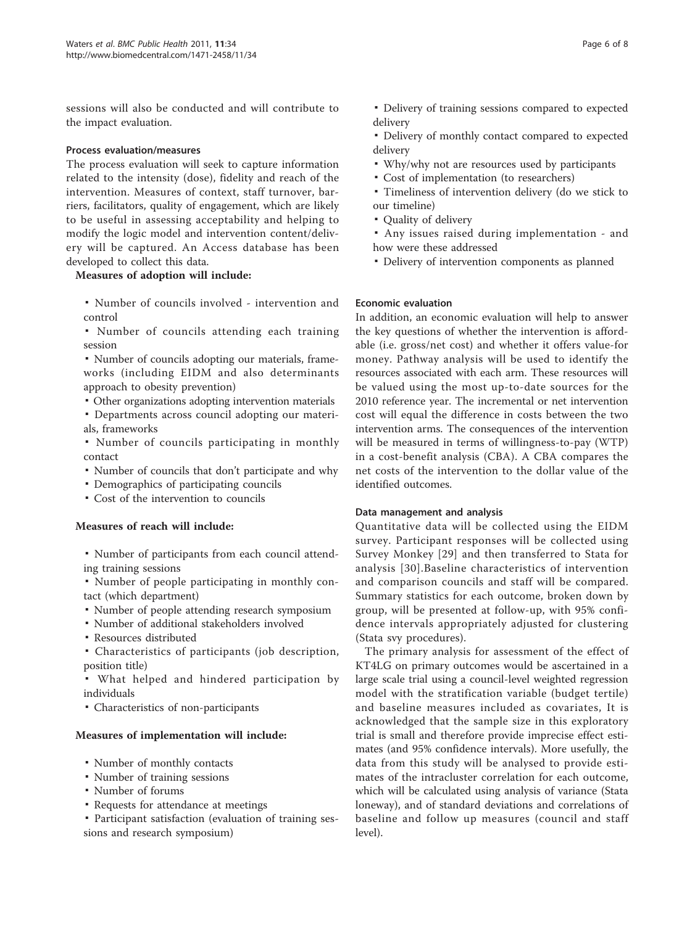sessions will also be conducted and will contribute to the impact evaluation.

#### Process evaluation/measures

The process evaluation will seek to capture information related to the intensity (dose), fidelity and reach of the intervention. Measures of context, staff turnover, barriers, facilitators, quality of engagement, which are likely to be useful in assessing acceptability and helping to modify the logic model and intervention content/delivery will be captured. An Access database has been developed to collect this data.

## Measures of adoption will include:

- Number of councils involved intervention and control
- Number of councils attending each training session

▪ Number of councils adopting our materials, frameworks (including EIDM and also determinants approach to obesity prevention)

▪ Other organizations adopting intervention materials

- Departments across council adopting our materials, frameworks
- Number of councils participating in monthly contact
- Number of councils that don't participate and why
- Demographics of participating councils
- Cost of the intervention to councils

## Measures of reach will include:

- Number of participants from each council attending training sessions
- Number of people participating in monthly contact (which department)
- Number of people attending research symposium
- Number of additional stakeholders involved
- Resources distributed
- Characteristics of participants (job description, position title)
- What helped and hindered participation by individuals
- Characteristics of non-participants

## Measures of implementation will include:

- Number of monthly contacts
- Number of training sessions
- Number of forums
- Requests for attendance at meetings
- Participant satisfaction (evaluation of training sessions and research symposium)
- Delivery of training sessions compared to expected delivery
- Delivery of monthly contact compared to expected delivery
- Why/why not are resources used by participants
- Cost of implementation (to researchers)
- Timeliness of intervention delivery (do we stick to our timeline)
- Quality of delivery
- Any issues raised during implementation and how were these addressed
- Delivery of intervention components as planned

#### Economic evaluation

In addition, an economic evaluation will help to answer the key questions of whether the intervention is affordable (i.e. gross/net cost) and whether it offers value-for money. Pathway analysis will be used to identify the resources associated with each arm. These resources will be valued using the most up-to-date sources for the 2010 reference year. The incremental or net intervention cost will equal the difference in costs between the two intervention arms. The consequences of the intervention will be measured in terms of willingness-to-pay (WTP) in a cost-benefit analysis (CBA). A CBA compares the net costs of the intervention to the dollar value of the identified outcomes.

## Data management and analysis

Quantitative data will be collected using the EIDM survey. Participant responses will be collected using Survey Monkey [[29](#page-7-0)] and then transferred to Stata for analysis [[30](#page-7-0)].Baseline characteristics of intervention and comparison councils and staff will be compared. Summary statistics for each outcome, broken down by group, will be presented at follow-up, with 95% confidence intervals appropriately adjusted for clustering (Stata svy procedures).

The primary analysis for assessment of the effect of KT4LG on primary outcomes would be ascertained in a large scale trial using a council-level weighted regression model with the stratification variable (budget tertile) and baseline measures included as covariates, It is acknowledged that the sample size in this exploratory trial is small and therefore provide imprecise effect estimates (and 95% confidence intervals). More usefully, the data from this study will be analysed to provide estimates of the intracluster correlation for each outcome, which will be calculated using analysis of variance (Stata loneway), and of standard deviations and correlations of baseline and follow up measures (council and staff level).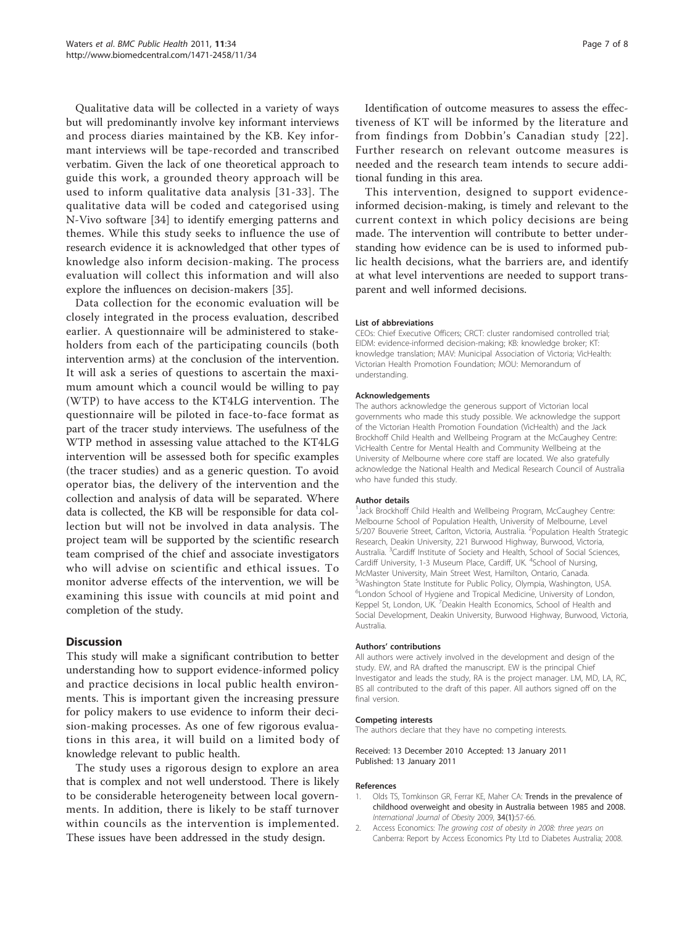<span id="page-6-0"></span>Qualitative data will be collected in a variety of ways but will predominantly involve key informant interviews and process diaries maintained by the KB. Key informant interviews will be tape-recorded and transcribed verbatim. Given the lack of one theoretical approach to guide this work, a grounded theory approach will be used to inform qualitative data analysis [[31-33](#page-7-0)]. The qualitative data will be coded and categorised using N-Vivo software [\[34](#page-7-0)] to identify emerging patterns and themes. While this study seeks to influence the use of research evidence it is acknowledged that other types of knowledge also inform decision-making. The process evaluation will collect this information and will also explore the influences on decision-makers [\[35](#page-7-0)].

Data collection for the economic evaluation will be closely integrated in the process evaluation, described earlier. A questionnaire will be administered to stakeholders from each of the participating councils (both intervention arms) at the conclusion of the intervention. It will ask a series of questions to ascertain the maximum amount which a council would be willing to pay (WTP) to have access to the KT4LG intervention. The questionnaire will be piloted in face-to-face format as part of the tracer study interviews. The usefulness of the WTP method in assessing value attached to the KT4LG intervention will be assessed both for specific examples (the tracer studies) and as a generic question. To avoid operator bias, the delivery of the intervention and the collection and analysis of data will be separated. Where data is collected, the KB will be responsible for data collection but will not be involved in data analysis. The project team will be supported by the scientific research team comprised of the chief and associate investigators who will advise on scientific and ethical issues. To monitor adverse effects of the intervention, we will be examining this issue with councils at mid point and completion of the study.

#### **Discussion**

This study will make a significant contribution to better understanding how to support evidence-informed policy and practice decisions in local public health environments. This is important given the increasing pressure for policy makers to use evidence to inform their decision-making processes. As one of few rigorous evaluations in this area, it will build on a limited body of knowledge relevant to public health.

The study uses a rigorous design to explore an area that is complex and not well understood. There is likely to be considerable heterogeneity between local governments. In addition, there is likely to be staff turnover within councils as the intervention is implemented. These issues have been addressed in the study design.

Identification of outcome measures to assess the effectiveness of KT will be informed by the literature and from findings from Dobbin's Canadian study [[22\]](#page-7-0). Further research on relevant outcome measures is needed and the research team intends to secure additional funding in this area.

This intervention, designed to support evidenceinformed decision-making, is timely and relevant to the current context in which policy decisions are being made. The intervention will contribute to better understanding how evidence can be is used to informed public health decisions, what the barriers are, and identify at what level interventions are needed to support transparent and well informed decisions.

#### List of abbreviations

CEOs: Chief Executive Officers; CRCT: cluster randomised controlled trial; EIDM: evidence-informed decision-making; KB: knowledge broker; KT: knowledge translation; MAV: Municipal Association of Victoria; VicHealth: Victorian Health Promotion Foundation; MOU: Memorandum of understanding.

#### Acknowledgements

The authors acknowledge the generous support of Victorian local governments who made this study possible. We acknowledge the support of the Victorian Health Promotion Foundation (VicHealth) and the Jack Brockhoff Child Health and Wellbeing Program at the McCaughey Centre: VicHealth Centre for Mental Health and Community Wellbeing at the University of Melbourne where core staff are located. We also gratefully acknowledge the National Health and Medical Research Council of Australia who have funded this study.

#### Author details

<sup>1</sup> Jack Brockhoff Child Health and Wellbeing Program, McCaughey Centre: Melbourne School of Population Health, University of Melbourne, Level 5/207 Bouverie Street, Carlton, Victoria, Australia. <sup>2</sup> Population Health Strategio Research, Deakin University, 221 Burwood Highway, Burwood, Victoria, Australia. <sup>3</sup>Cardiff Institute of Society and Health, School of Social Sciences, Cardiff University, 1-3 Museum Place, Cardiff, UK. <sup>4</sup>School of Nursing, McMaster University, Main Street West, Hamilton, Ontario, Canada. 5 Washington State Institute for Public Policy, Olympia, Washington, USA. 6 London School of Hygiene and Tropical Medicine, University of London, Keppel St, London, UK.<sup>7</sup> Deakin Health Economics, School of Health and Social Development, Deakin University, Burwood Highway, Burwood, Victoria, Australia.

#### Authors' contributions

All authors were actively involved in the development and design of the study. EW, and RA drafted the manuscript. EW is the principal Chief Investigator and leads the study, RA is the project manager. LM, MD, LA, RC, BS all contributed to the draft of this paper. All authors signed off on the final version.

#### Competing interests

The authors declare that they have no competing interests.

#### Received: 13 December 2010 Accepted: 13 January 2011 Published: 13 January 2011

#### References

- 1. Olds TS, Tomkinson GR, Ferrar KE, Maher CA: [Trends in the prevalence of](http://www.ncbi.nlm.nih.gov/pubmed/19823187?dopt=Abstract) [childhood overweight and obesity in Australia between 1985 and 2008.](http://www.ncbi.nlm.nih.gov/pubmed/19823187?dopt=Abstract) International Journal of Obesity 2009, 34(1):57-66.
- 2. Access Economics: The growing cost of obesity in 2008: three years on Canberra: Report by Access Economics Pty Ltd to Diabetes Australia; 2008.